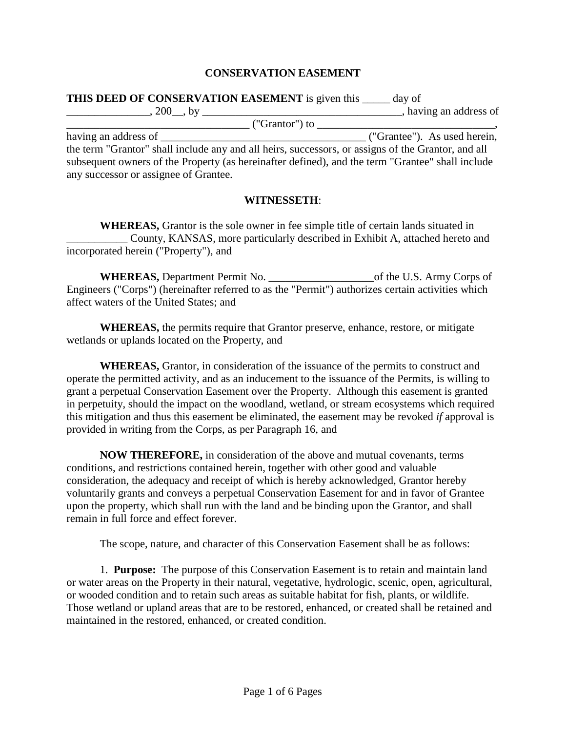## **CONSERVATION EASEMENT**

| <b>THIS DEED OF CONSERVATION EASEMENT</b> is given this _____ day of                               |                              |
|----------------------------------------------------------------------------------------------------|------------------------------|
| $\frac{1}{200}$ , by $\frac{1}{200}$ , by $\frac{1}{200}$                                          | having an address of         |
|                                                                                                    |                              |
| having an address of                                                                               | ("Grantee"). As used herein, |
| the term "Grantor" shall include any and all heirs, successors, or assigns of the Grantor, and all |                              |
| subsequent owners of the Property (as hereinafter defined), and the term "Grantee" shall include   |                              |
| any successor or assignee of Grantee.                                                              |                              |

## **WITNESSETH**:

**WHEREAS,** Grantor is the sole owner in fee simple title of certain lands situated in County, KANSAS, more particularly described in Exhibit A, attached hereto and incorporated herein ("Property"), and

**WHEREAS,** Department Permit No. \_\_\_\_\_\_\_\_\_\_\_\_\_\_\_\_\_\_\_of the U.S. Army Corps of Engineers ("Corps") (hereinafter referred to as the "Permit") authorizes certain activities which affect waters of the United States; and

**WHEREAS,** the permits require that Grantor preserve, enhance, restore, or mitigate wetlands or uplands located on the Property, and

**WHEREAS,** Grantor, in consideration of the issuance of the permits to construct and operate the permitted activity, and as an inducement to the issuance of the Permits, is willing to grant a perpetual Conservation Easement over the Property. Although this easement is granted in perpetuity, should the impact on the woodland, wetland, or stream ecosystems which required this mitigation and thus this easement be eliminated, the easement may be revoked *if* approval is provided in writing from the Corps, as per Paragraph 16, and

**NOW THEREFORE,** in consideration of the above and mutual covenants, terms conditions, and restrictions contained herein, together with other good and valuable consideration, the adequacy and receipt of which is hereby acknowledged, Grantor hereby voluntarily grants and conveys a perpetual Conservation Easement for and in favor of Grantee upon the property, which shall run with the land and be binding upon the Grantor, and shall remain in full force and effect forever.

The scope, nature, and character of this Conservation Easement shall be as follows:

1. **Purpose:** The purpose of this Conservation Easement is to retain and maintain land or water areas on the Property in their natural, vegetative, hydrologic, scenic, open, agricultural, or wooded condition and to retain such areas as suitable habitat for fish, plants, or wildlife. Those wetland or upland areas that are to be restored, enhanced, or created shall be retained and maintained in the restored, enhanced, or created condition.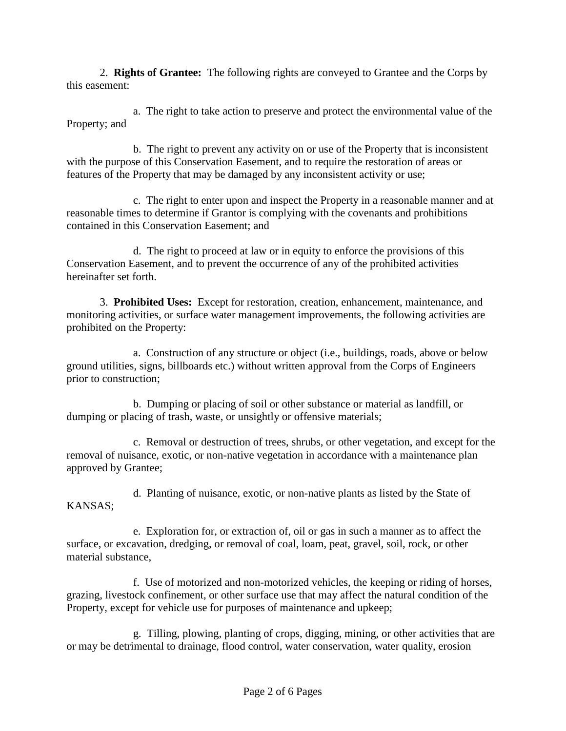2. **Rights of Grantee:** The following rights are conveyed to Grantee and the Corps by this easement:

a. The right to take action to preserve and protect the environmental value of the Property; and

b. The right to prevent any activity on or use of the Property that is inconsistent with the purpose of this Conservation Easement, and to require the restoration of areas or features of the Property that may be damaged by any inconsistent activity or use;

c. The right to enter upon and inspect the Property in a reasonable manner and at reasonable times to determine if Grantor is complying with the covenants and prohibitions contained in this Conservation Easement; and

d. The right to proceed at law or in equity to enforce the provisions of this Conservation Easement, and to prevent the occurrence of any of the prohibited activities hereinafter set forth.

3. **Prohibited Uses:** Except for restoration, creation, enhancement, maintenance, and monitoring activities, or surface water management improvements, the following activities are prohibited on the Property:

a. Construction of any structure or object (i.e., buildings, roads, above or below ground utilities, signs, billboards etc.) without written approval from the Corps of Engineers prior to construction;

b. Dumping or placing of soil or other substance or material as landfill, or dumping or placing of trash, waste, or unsightly or offensive materials;

c. Removal or destruction of trees, shrubs, or other vegetation, and except for the removal of nuisance, exotic, or non-native vegetation in accordance with a maintenance plan approved by Grantee;

KANSAS;

d. Planting of nuisance, exotic, or non-native plants as listed by the State of

e. Exploration for, or extraction of, oil or gas in such a manner as to affect the surface, or excavation, dredging, or removal of coal, loam, peat, gravel, soil, rock, or other material substance,

f. Use of motorized and non-motorized vehicles, the keeping or riding of horses, grazing, livestock confinement, or other surface use that may affect the natural condition of the Property, except for vehicle use for purposes of maintenance and upkeep;

g. Tilling, plowing, planting of crops, digging, mining, or other activities that are or may be detrimental to drainage, flood control, water conservation, water quality, erosion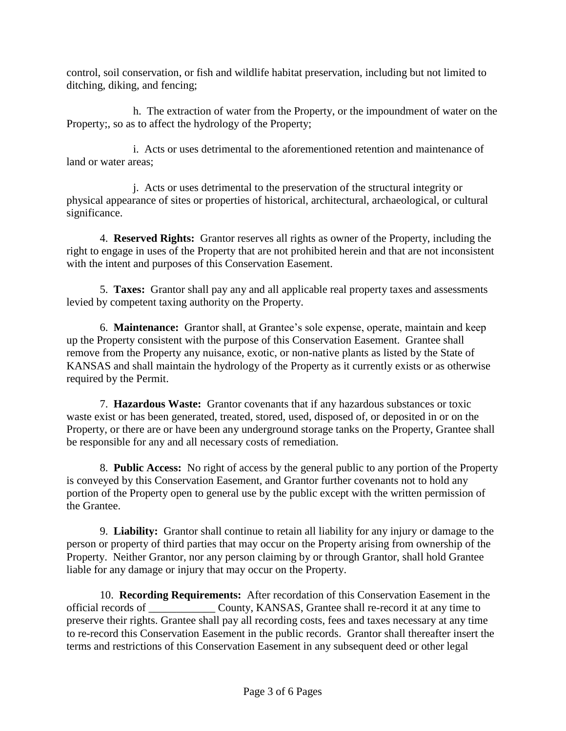control, soil conservation, or fish and wildlife habitat preservation, including but not limited to ditching, diking, and fencing;

h. The extraction of water from the Property, or the impoundment of water on the Property;, so as to affect the hydrology of the Property;

i. Acts or uses detrimental to the aforementioned retention and maintenance of land or water areas;

j. Acts or uses detrimental to the preservation of the structural integrity or physical appearance of sites or properties of historical, architectural, archaeological, or cultural significance.

4. **Reserved Rights:** Grantor reserves all rights as owner of the Property, including the right to engage in uses of the Property that are not prohibited herein and that are not inconsistent with the intent and purposes of this Conservation Easement.

5. **Taxes:** Grantor shall pay any and all applicable real property taxes and assessments levied by competent taxing authority on the Property.

6. **Maintenance:** Grantor shall, at Grantee's sole expense, operate, maintain and keep up the Property consistent with the purpose of this Conservation Easement. Grantee shall remove from the Property any nuisance, exotic, or non-native plants as listed by the State of KANSAS and shall maintain the hydrology of the Property as it currently exists or as otherwise required by the Permit.

7. **Hazardous Waste:** Grantor covenants that if any hazardous substances or toxic waste exist or has been generated, treated, stored, used, disposed of, or deposited in or on the Property, or there are or have been any underground storage tanks on the Property, Grantee shall be responsible for any and all necessary costs of remediation.

8. **Public Access:** No right of access by the general public to any portion of the Property is conveyed by this Conservation Easement, and Grantor further covenants not to hold any portion of the Property open to general use by the public except with the written permission of the Grantee.

9. **Liability:** Grantor shall continue to retain all liability for any injury or damage to the person or property of third parties that may occur on the Property arising from ownership of the Property. Neither Grantor, nor any person claiming by or through Grantor, shall hold Grantee liable for any damage or injury that may occur on the Property.

10. **Recording Requirements:** After recordation of this Conservation Easement in the official records of \_\_\_\_\_\_\_\_\_\_\_\_ County, KANSAS, Grantee shall re-record it at any time to preserve their rights. Grantee shall pay all recording costs, fees and taxes necessary at any time to re-record this Conservation Easement in the public records. Grantor shall thereafter insert the terms and restrictions of this Conservation Easement in any subsequent deed or other legal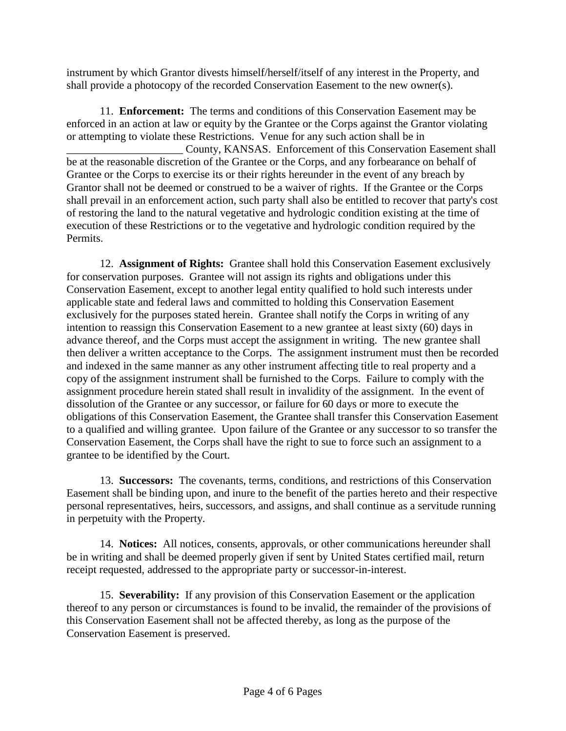instrument by which Grantor divests himself/herself/itself of any interest in the Property, and shall provide a photocopy of the recorded Conservation Easement to the new owner(s).

11. **Enforcement:** The terms and conditions of this Conservation Easement may be enforced in an action at law or equity by the Grantee or the Corps against the Grantor violating or attempting to violate these Restrictions. Venue for any such action shall be in County, KANSAS. Enforcement of this Conservation Easement shall be at the reasonable discretion of the Grantee or the Corps, and any forbearance on behalf of Grantee or the Corps to exercise its or their rights hereunder in the event of any breach by Grantor shall not be deemed or construed to be a waiver of rights. If the Grantee or the Corps shall prevail in an enforcement action, such party shall also be entitled to recover that party's cost of restoring the land to the natural vegetative and hydrologic condition existing at the time of execution of these Restrictions or to the vegetative and hydrologic condition required by the Permits.

12. **Assignment of Rights:** Grantee shall hold this Conservation Easement exclusively for conservation purposes. Grantee will not assign its rights and obligations under this Conservation Easement, except to another legal entity qualified to hold such interests under applicable state and federal laws and committed to holding this Conservation Easement exclusively for the purposes stated herein. Grantee shall notify the Corps in writing of any intention to reassign this Conservation Easement to a new grantee at least sixty (60) days in advance thereof, and the Corps must accept the assignment in writing. The new grantee shall then deliver a written acceptance to the Corps. The assignment instrument must then be recorded and indexed in the same manner as any other instrument affecting title to real property and a copy of the assignment instrument shall be furnished to the Corps. Failure to comply with the assignment procedure herein stated shall result in invalidity of the assignment. In the event of dissolution of the Grantee or any successor, or failure for 60 days or more to execute the obligations of this Conservation Easement, the Grantee shall transfer this Conservation Easement to a qualified and willing grantee. Upon failure of the Grantee or any successor to so transfer the Conservation Easement, the Corps shall have the right to sue to force such an assignment to a grantee to be identified by the Court.

13. **Successors:** The covenants, terms, conditions, and restrictions of this Conservation Easement shall be binding upon, and inure to the benefit of the parties hereto and their respective personal representatives, heirs, successors, and assigns, and shall continue as a servitude running in perpetuity with the Property.

14. **Notices:** All notices, consents, approvals, or other communications hereunder shall be in writing and shall be deemed properly given if sent by United States certified mail, return receipt requested, addressed to the appropriate party or successor-in-interest.

15. **Severability:** If any provision of this Conservation Easement or the application thereof to any person or circumstances is found to be invalid, the remainder of the provisions of this Conservation Easement shall not be affected thereby, as long as the purpose of the Conservation Easement is preserved.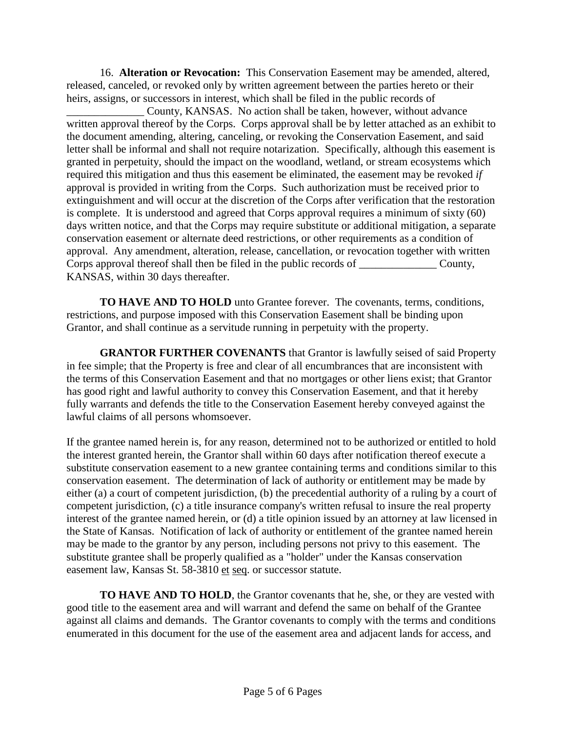16. **Alteration or Revocation:** This Conservation Easement may be amended, altered, released, canceled, or revoked only by written agreement between the parties hereto or their heirs, assigns, or successors in interest, which shall be filed in the public records of

County, KANSAS. No action shall be taken, however, without advance written approval thereof by the Corps. Corps approval shall be by letter attached as an exhibit to the document amending, altering, canceling, or revoking the Conservation Easement, and said letter shall be informal and shall not require notarization. Specifically, although this easement is granted in perpetuity, should the impact on the woodland, wetland, or stream ecosystems which required this mitigation and thus this easement be eliminated, the easement may be revoked *if* approval is provided in writing from the Corps. Such authorization must be received prior to extinguishment and will occur at the discretion of the Corps after verification that the restoration is complete. It is understood and agreed that Corps approval requires a minimum of sixty (60) days written notice, and that the Corps may require substitute or additional mitigation, a separate conservation easement or alternate deed restrictions, or other requirements as a condition of approval. Any amendment, alteration, release, cancellation, or revocation together with written Corps approval thereof shall then be filed in the public records of \_\_\_\_\_\_\_\_\_\_\_\_\_\_ County, KANSAS, within 30 days thereafter.

**TO HAVE AND TO HOLD** unto Grantee forever. The covenants, terms, conditions, restrictions, and purpose imposed with this Conservation Easement shall be binding upon Grantor, and shall continue as a servitude running in perpetuity with the property.

**GRANTOR FURTHER COVENANTS** that Grantor is lawfully seised of said Property in fee simple; that the Property is free and clear of all encumbrances that are inconsistent with the terms of this Conservation Easement and that no mortgages or other liens exist; that Grantor has good right and lawful authority to convey this Conservation Easement, and that it hereby fully warrants and defends the title to the Conservation Easement hereby conveyed against the lawful claims of all persons whomsoever.

If the grantee named herein is, for any reason, determined not to be authorized or entitled to hold the interest granted herein, the Grantor shall within 60 days after notification thereof execute a substitute conservation easement to a new grantee containing terms and conditions similar to this conservation easement. The determination of lack of authority or entitlement may be made by either (a) a court of competent jurisdiction, (b) the precedential authority of a ruling by a court of competent jurisdiction, (c) a title insurance company's written refusal to insure the real property interest of the grantee named herein, or (d) a title opinion issued by an attorney at law licensed in the State of Kansas. Notification of lack of authority or entitlement of the grantee named herein may be made to the grantor by any person, including persons not privy to this easement. The substitute grantee shall be properly qualified as a "holder" under the Kansas conservation easement law, Kansas St. 58-3810 et seq. or successor statute.

**TO HAVE AND TO HOLD**, the Grantor covenants that he, she, or they are vested with good title to the easement area and will warrant and defend the same on behalf of the Grantee against all claims and demands. The Grantor covenants to comply with the terms and conditions enumerated in this document for the use of the easement area and adjacent lands for access, and